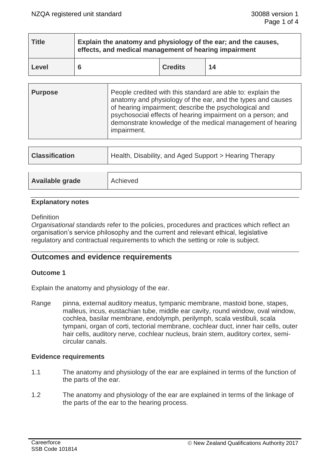| <b>Title</b> | Explain the anatomy and physiology of the ear; and the causes,<br>effects, and medical management of hearing impairment |                |    |
|--------------|-------------------------------------------------------------------------------------------------------------------------|----------------|----|
| Level        |                                                                                                                         | <b>Credits</b> | 14 |

| <b>Purpose</b> | People credited with this standard are able to: explain the<br>anatomy and physiology of the ear, and the types and causes<br>of hearing impairment; describe the psychological and<br>psychosocial effects of hearing impairment on a person; and<br>demonstrate knowledge of the medical management of hearing<br>impairment. |
|----------------|---------------------------------------------------------------------------------------------------------------------------------------------------------------------------------------------------------------------------------------------------------------------------------------------------------------------------------|
|                |                                                                                                                                                                                                                                                                                                                                 |

| <b>Classification</b> | Health, Disability, and Aged Support > Hearing Therapy |  |
|-----------------------|--------------------------------------------------------|--|
|                       |                                                        |  |
| Available grade       | Achieved                                               |  |

## **Explanatory notes**

## **Definition**

*Organisational standards* refer to the policies, procedures and practices which reflect an organisation's service philosophy and the current and relevant ethical, legislative regulatory and contractual requirements to which the setting or role is subject.

# **Outcomes and evidence requirements**

## **Outcome 1**

Explain the anatomy and physiology of the ear.

Range pinna, external auditory meatus, tympanic membrane, mastoid bone, stapes, malleus, incus, eustachian tube, middle ear cavity, round window, oval window, cochlea, basilar membrane, endolymph, perilymph, scala vestibuli, scala tympani, organ of corti, tectorial membrane, cochlear duct, inner hair cells, outer hair cells, auditory nerve, cochlear nucleus, brain stem, auditory cortex, semicircular canals.

## **Evidence requirements**

- 1.1 The anatomy and physiology of the ear are explained in terms of the function of the parts of the ear.
- 1.2 The anatomy and physiology of the ear are explained in terms of the linkage of the parts of the ear to the hearing process.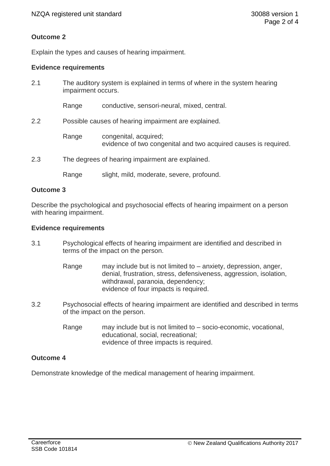# **Outcome 2**

Explain the types and causes of hearing impairment.

## **Evidence requirements**

| 2.1 | impairment occurs.                                   | The auditory system is explained in terms of where in the system hearing                 |
|-----|------------------------------------------------------|------------------------------------------------------------------------------------------|
|     | Range                                                | conductive, sensori-neural, mixed, central.                                              |
| 2.2 | Possible causes of hearing impairment are explained. |                                                                                          |
|     | Range                                                | congenital, acquired;<br>evidence of two congenital and two acquired causes is required. |
| 2.3 |                                                      | The degrees of hearing impairment are explained.                                         |
|     | Range                                                | slight, mild, moderate, severe, profound.                                                |

#### **Outcome 3**

Describe the psychological and psychosocial effects of hearing impairment on a person with hearing impairment.

#### **Evidence requirements**

- 3.1 Psychological effects of hearing impairment are identified and described in terms of the impact on the person.
	- Range may include but is not limited to anxiety, depression, anger, denial, frustration, stress, defensiveness, aggression, isolation, withdrawal, paranoia, dependency; evidence of four impacts is required.
- 3.2 Psychosocial effects of hearing impairment are identified and described in terms of the impact on the person.
	- Range may include but is not limited to socio-economic, vocational, educational, social, recreational; evidence of three impacts is required.

## **Outcome 4**

Demonstrate knowledge of the medical management of hearing impairment.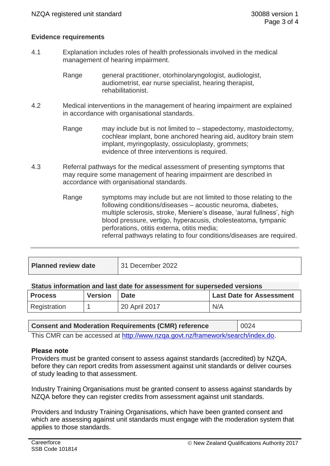## **Evidence requirements**

- 4.1 Explanation includes roles of health professionals involved in the medical management of hearing impairment.
	- Range general practitioner, otorhinolaryngologist, audiologist, audiometrist, ear nurse specialist, hearing therapist, rehabilitationist.
- 4.2 Medical interventions in the management of hearing impairment are explained in accordance with organisational standards.
	- Range may include but is not limited to stapedectomy, mastoidectomy, cochlear implant, bone anchored hearing aid, auditory brain stem implant, myringoplasty, ossiculoplasty, grommets; evidence of three interventions is required.
- 4.3 Referral pathways for the medical assessment of presenting symptoms that may require some management of hearing impairment are described in accordance with organisational standards.
	- Range symptoms may include but are not limited to those relating to the following conditions/diseases – acoustic neuroma, diabetes, multiple sclerosis, stroke, Meniere's disease, 'aural fullness', high blood pressure, vertigo, hyperacusis, cholesteatoma, tympanic perforations, otitis externa, otitis media; referral pathways relating to four conditions/diseases are required.

| <b>Planned review date</b> | 31 December 2022 |
|----------------------------|------------------|
|                            |                  |

#### **Status information and last date for assessment for superseded versions**

| <b>Process</b> | <b>Version</b> | <b>Date</b>   | <b>Last Date for Assessment</b> |
|----------------|----------------|---------------|---------------------------------|
| Registration   |                | 20 April 2017 | N/A                             |

| <b>Consent and Moderation Requirements (CMR) reference</b>                     | 0024 |  |
|--------------------------------------------------------------------------------|------|--|
| This CMR can be accessed at http://www.nzqa.govt.nz/framework/search/index.do. |      |  |

# **Please note**

Providers must be granted consent to assess against standards (accredited) by NZQA, before they can report credits from assessment against unit standards or deliver courses of study leading to that assessment.

Industry Training Organisations must be granted consent to assess against standards by NZQA before they can register credits from assessment against unit standards.

Providers and Industry Training Organisations, which have been granted consent and which are assessing against unit standards must engage with the moderation system that applies to those standards.